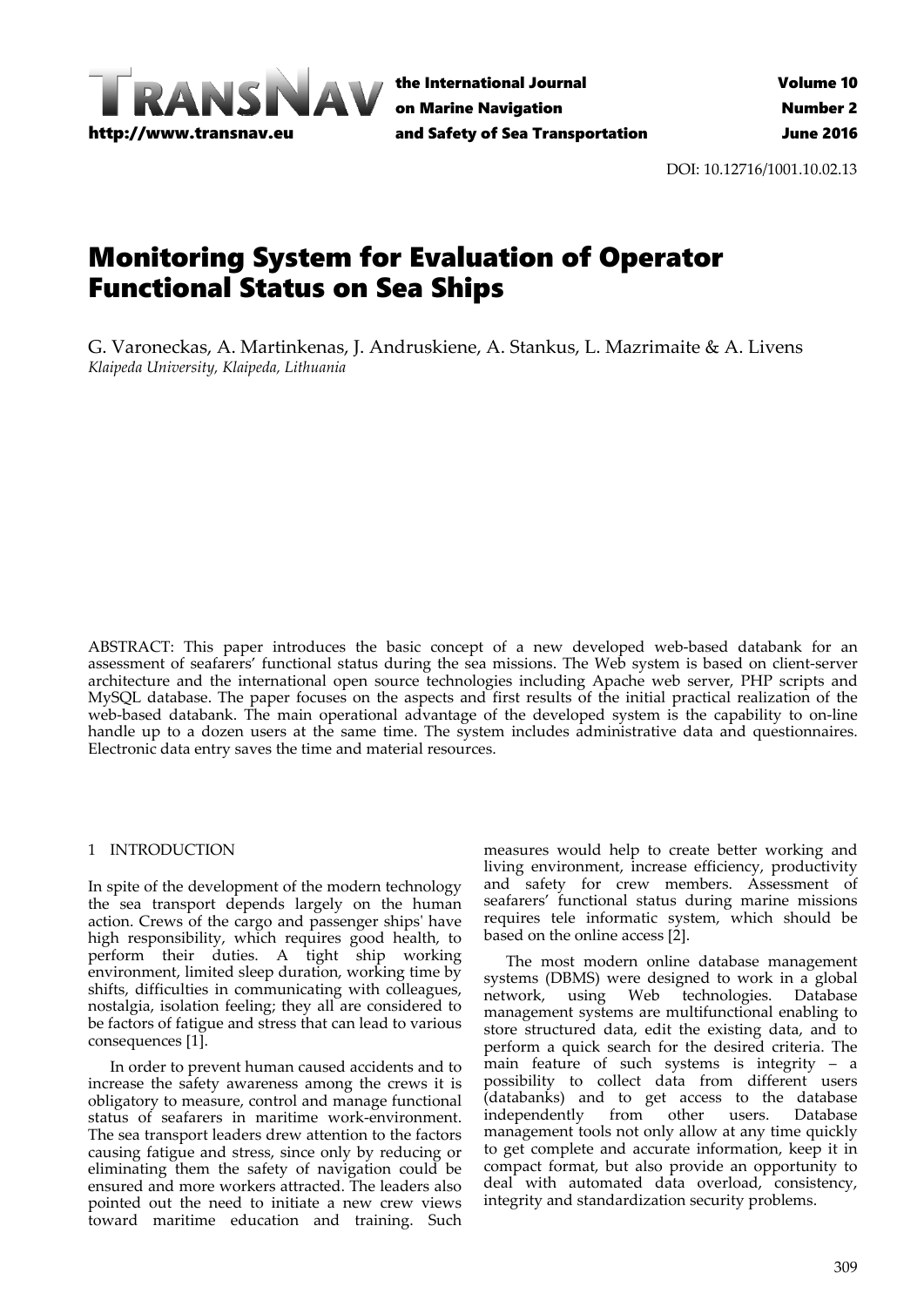

DOI: 10.12716/1001.10.02.13

# Monitoring System for Evaluation of Operator Functional Status on Sea Ships

G. Varoneckas, A. Martinkenas, J. Andruskiene, A. Stankus, L. Mazrimaite & A. Livens *Klaipeda University, Klaipeda, Lithuania*

ABSTRACT: This paper introduces the basic concept of a new developed web-based databank for an assessment of seafarers' functional status during the sea missions. The Web system is based on client‐server architecture and the international open source technologies including Apache web server, PHP scripts and MySQL database. The paper focuses on the aspects and first results of the initial practical realization of the web-based databank. The main operational advantage of the developed system is the capability to on-line handle up to a dozen users at the same time. The system includes administrative data and questionnaires. Electronic data entry saves the time and material resources.

# 1 INTRODUCTION

In spite of the development of the modern technology the sea transport depends largely on the human action. Crews of the cargo and passenger shipsʹ have high responsibility, which requires good health, to perform their duties. A tight ship working environment, limited sleep duration, working time by shifts, difficulties in communicating with colleagues, nostalgia, isolation feeling; they all are considered to be factors of fatigue and stress that can lead to various consequences [1].

In order to prevent human caused accidents and to increase the safety awareness among the crews it is obligatory to measure, control and manage functional status of seafarers in maritime work‐environment. The sea transport leaders drew attention to the factors causing fatigue and stress, since only by reducing or eliminating them the safety of navigation could be ensured and more workers attracted. The leaders also pointed out the need to initiate a new crew views toward maritime education and training. Such

measures would help to create better working and living environment, increase efficiency, productivity and safety for crew members. Assessment of seafarers' functional status during marine missions requires tele informatic system, which should be based on the online access [2].

The most modern online database management systems (DBMS) were designed to work in a global network, using Web technologies. Database management systems are multifunctional enabling to store structured data, edit the existing data, and to perform a quick search for the desired criteria. The main feature of such systems is integrity – a possibility to collect data from different users (databanks) and to get access to the database independently from other users. Database from other users. Database management tools not only allow at any time quickly to get complete and accurate information, keep it in compact format, but also provide an opportunity to deal with automated data overload, consistency, integrity and standardization security problems.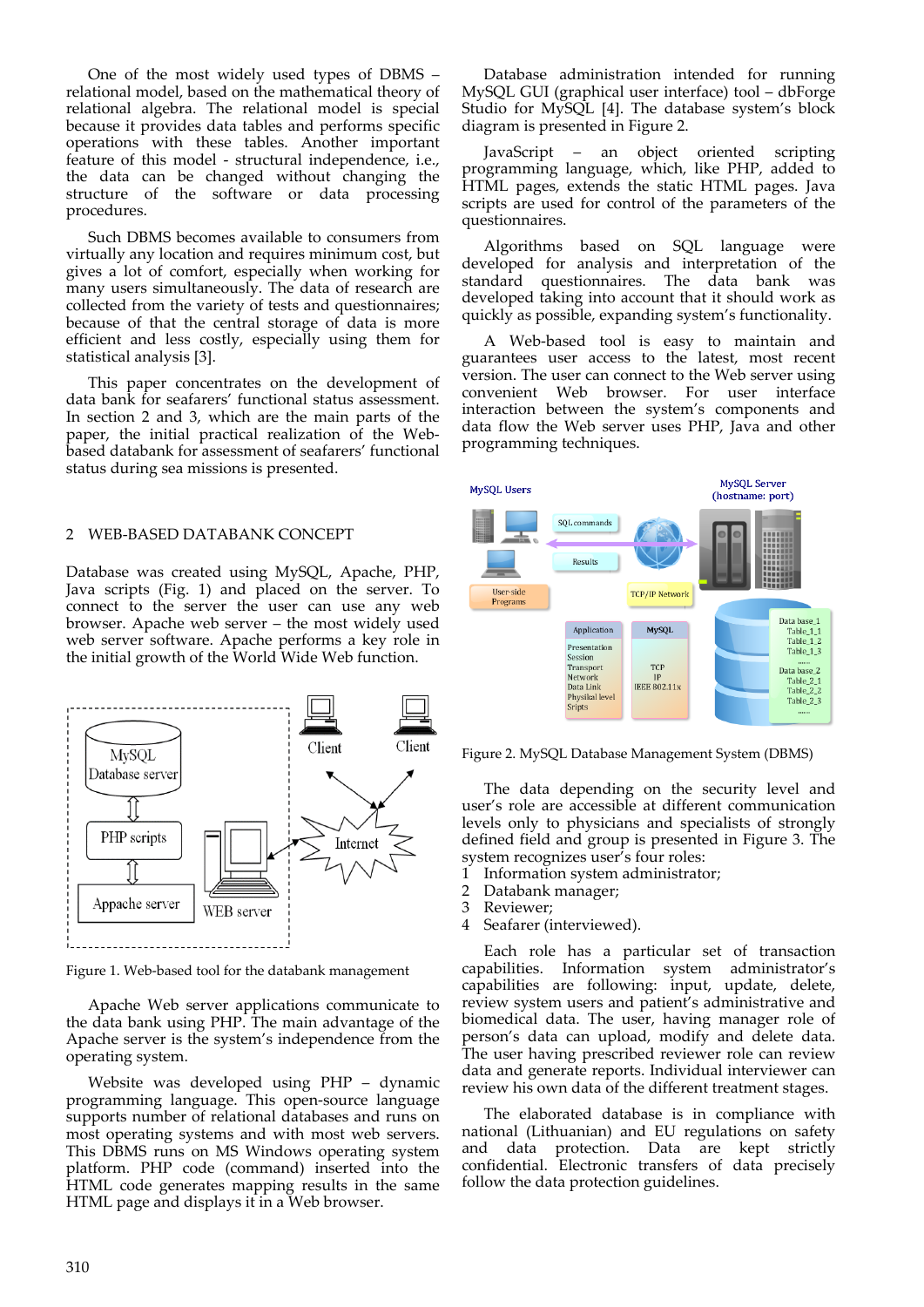One of the most widely used types of DBMS – relational model, based on the mathematical theory of relational algebra. The relational model is special because it provides data tables and performs specific operations with these tables. Another important feature of this model - structural independence, i.e., the data can be changed without changing the structure of the software or data processing procedures.

Such DBMS becomes available to consumers from virtually any location and requires minimum cost, but gives a lot of comfort, especially when working for many users simultaneously. The data of research are collected from the variety of tests and questionnaires; because of that the central storage of data is more efficient and less costly, especially using them for statistical analysis [3].

This paper concentrates on the development of data bank for seafarers' functional status assessment. In section 2 and 3, which are the main parts of the paper, the initial practical realization of the Webbased databank for assessment of seafarers' functional status during sea missions is presented.

# 2 WEB‐BASED DATABANK CONCEPT

Database was created using MySQL, Apache, PHP, Java scripts (Fig. 1) and placed on the server. To connect to the server the user can use any web browser. Apache web server – the most widely used web server software. Apache performs a key role in the initial growth of the World Wide Web function.



Figure 1. Web-based tool for the databank management

Apache Web server applications communicate to the data bank using PHP. The main advantage of the Apache server is the system's independence from the operating system.

Website was developed using PHP – dynamic programming language. This open‐source language supports number of relational databases and runs on most operating systems and with most web servers. This DBMS runs on MS Windows operating system platform. PHP code (command) inserted into the HTML code generates mapping results in the same HTML page and displays it in a Web browser.

Database administration intended for running MySQL GUI (graphical user interface) tool – dbForge Studio for MySQL [4]. The database system's block diagram is presented in Figure 2.

JavaScript – an object oriented scripting programming language, which, like PHP, added to HTML pages, extends the static HTML pages. Java scripts are used for control of the parameters of the questionnaires.

Algorithms based on SQL language were developed for analysis and interpretation of the standard questionnaires. The data bank was developed taking into account that it should work as quickly as possible, expanding system's functionality.

A Web‐based tool is easy to maintain and guarantees user access to the latest, most recent version. The user can connect to the Web server using convenient Web browser. For user interface interaction between the system's components and data flow the Web server uses PHP, Java and other programming techniques.



Figure 2. MySQL Database Management System (DBMS)

The data depending on the security level and user's role are accessible at different communication levels only to physicians and specialists of strongly defined field and group is presented in Figure 3. The system recognizes user's four roles:<br>1 Information system administrate

- 1 Information system administrator;<br>2 Databank manager;
- Databank manager;
- 3 Reviewer;
- 4 Seafarer (interviewed).

Each role has a particular set of transaction capabilities. Information system administrator's capabilities are following: input, update, delete, review system users and patient's administrative and biomedical data. The user, having manager role of person's data can upload, modify and delete data. The user having prescribed reviewer role can review data and generate reports. Individual interviewer can review his own data of the different treatment stages.

The elaborated database is in compliance with national (Lithuanian) and EU regulations on safety and data protection. Data are kept strictly confidential. Electronic transfers of data precisely follow the data protection guidelines.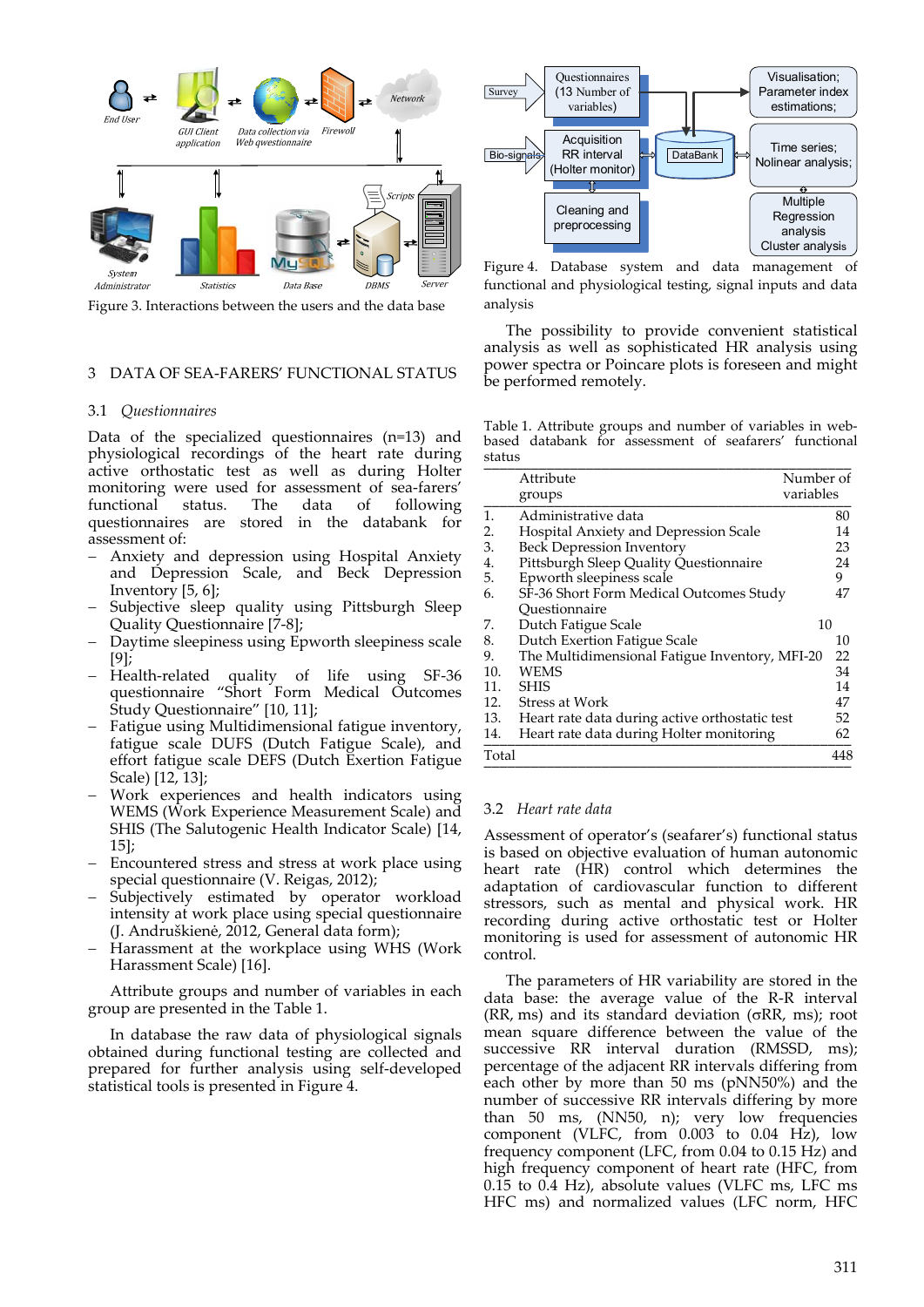

Figure 3. Interactions between the users and the data base

# 3 DATA OF SEA‐FARERS' FUNCTIONAL STATUS

# 3.1 *Questionnaires*

Data of the specialized questionnaires (n=13) and physiological recordings of the heart rate during active orthostatic test as well as during Holter monitoring were used for assessment of sea-farers' functional status. The data of following questionnaires are stored in the databank for assessment of:

- Anxiety and depression using Hospital Anxiety and Depression Scale, and Beck Depression Inventory [5, 6];
- Subjective sleep quality using Pittsburgh Sleep Quality Questionnaire [7‐8];
- Daytime sleepiness using Epworth sleepiness scale  $[9]$
- Health-related quality of life using SF-36 questionnaire "Short Form Medical Outcomes Study Questionnaire" [10, 11];
- Fatigue using Multidimensional fatigue inventory, fatigue scale DUFS (Dutch Fatigue Scale), and effort fatigue scale DEFS (Dutch Exertion Fatigue Scale) [12, 13];
- Work experiences and health indicators using WEMS (Work Experience Measurement Scale) and SHIS (The Salutogenic Health Indicator Scale) [14, 15];
- Encountered stress and stress at work place using special questionnaire (V. Reigas, 2012);
- Subjectively estimated by operator workload intensity at work place using special questionnaire (J. Andruškienė, 2012, General data form);
- Harassment at the workplace using WHS (Work Harassment Scale) [16].

Attribute groups and number of variables in each group are presented in the Table 1.

In database the raw data of physiological signals obtained during functional testing are collected and prepared for further analysis using self‐developed statistical tools is presented in Figure 4.



Figure 4. Database system and data management of functional and physiological testing, signal inputs and data analysis

The possibility to provide convenient statistical analysis as well as sophisticated HR analysis using power spectra or Poincare plots is foreseen and might be performed remotely.

Table 1. Attribute groups and number of variables in webbased databank for assessment of seafarers' functional status \_\_\_\_\_\_\_\_\_\_\_\_\_\_\_\_\_\_\_\_\_\_\_\_\_\_\_\_\_\_\_\_\_\_\_\_\_\_\_\_\_\_\_\_\_\_\_

|       | Number of<br>Attribute<br>variables<br>groups  |     |
|-------|------------------------------------------------|-----|
| 1.    | Administrative data                            | 80  |
| 2.    | Hospital Anxiety and Depression Scale          | 14  |
| 3.    | <b>Beck Depression Inventory</b>               | 23  |
| 4.    | Pittsburgh Sleep Quality Questionnaire         | 24  |
| 5.    | Epworth sleepiness scale                       | 9   |
| 6.    | SF-36 Short Form Medical Outcomes Study        | 47  |
|       | Ouestionnaire                                  |     |
| 7.    | Dutch Fatigue Scale                            | 10  |
| 8.    | Dutch Exertion Fatigue Scale                   | 10  |
| 9.    | The Multidimensional Fatigue Inventory, MFI-20 | 22  |
| 10.   | <b>WEMS</b>                                    | 34  |
| 11.   | <b>SHIS</b>                                    | 14  |
| 12.   | <b>Stress at Work</b>                          | 47  |
| 13.   | Heart rate data during active orthostatic test | 52  |
| 14.   | Heart rate data during Holter monitoring       | 62  |
| Total |                                                | 448 |

#### 3.2 *Heart rate data*

Assessment of operator's (seafarer's) functional status is based on objective evaluation of human autonomic heart rate (HR) control which determines the adaptation of cardiovascular function to different stressors, such as mental and physical work. HR recording during active orthostatic test or Holter monitoring is used for assessment of autonomic HR control.

The parameters of HR variability are stored in the data base: the average value of the R‐R interval  $(RR, ms)$  and its standard deviation ( $\sigma RR$ , ms); root mean square difference between the value of the successive RR interval duration (RMSSD, ms); percentage of the adjacent RR intervals differing from each other by more than 50 ms (pNN50%) and the number of successive RR intervals differing by more than 50 ms, (NN50, n); very low frequencies component (VLFC, from 0.003 to 0.04 Hz), low frequency component (LFC, from 0.04 to 0.15 Hz) and high frequency component of heart rate (HFC, from 0.15 to 0.4 Hz), absolute values (VLFC ms, LFC ms HFC ms) and normalized values (LFC norm, HFC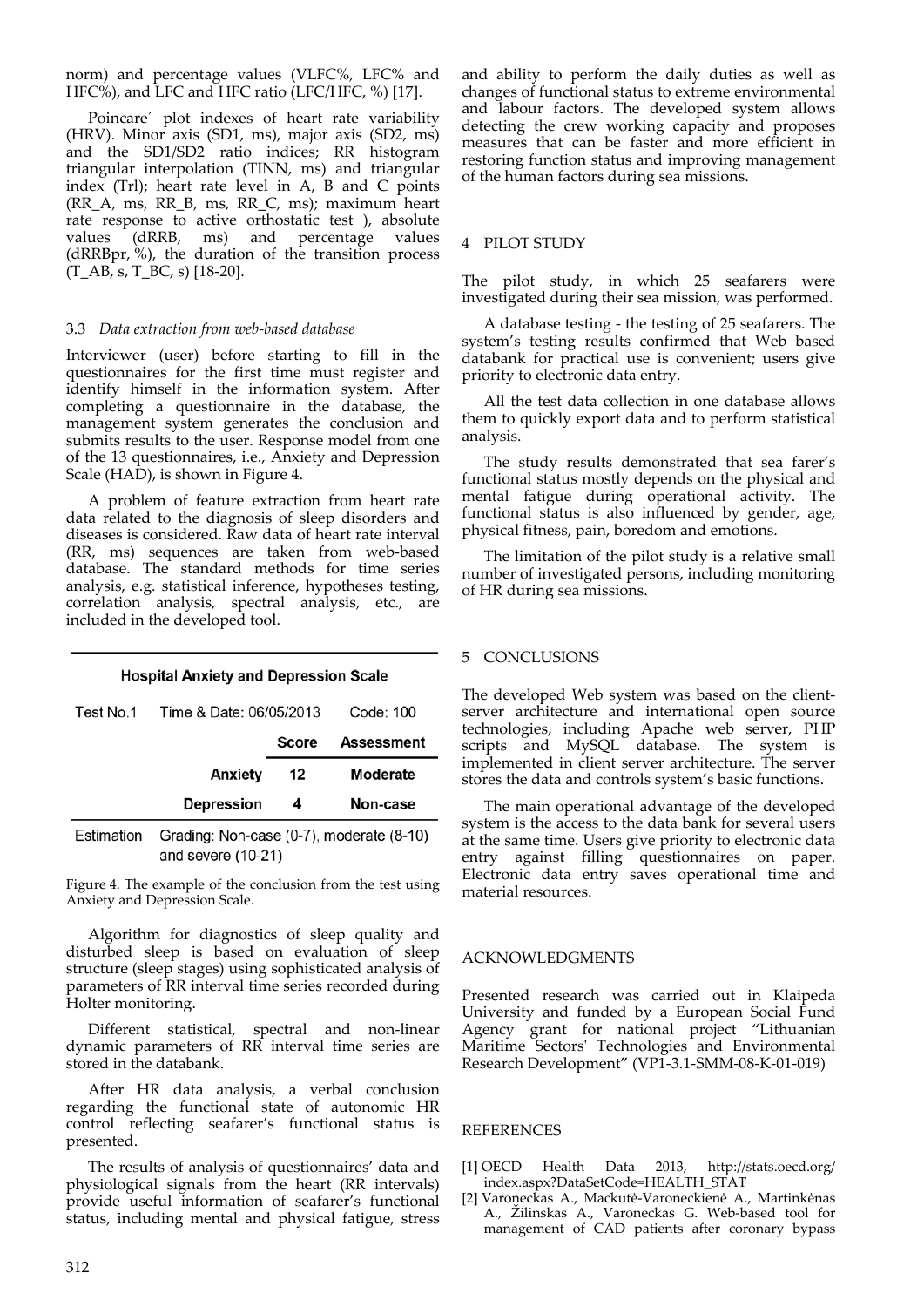norm) and percentage values (VLFC%, LFC% and HFC%), and LFC and HFC ratio (LFC/HFC, %) [17].

Poincare´ plot indexes of heart rate variability (HRV). Minor axis (SD1, ms), major axis (SD2, ms) and the SD1/SD2 ratio indices; RR histogram triangular interpolation (TINN, ms) and triangular index (Trl); heart rate level in A, B and C points (RR\_A, ms, RR\_B, ms, RR\_C, ms); maximum heart rate response to active orthostatic test ), absolute values (dRRB, ms) and percentage values (dRRBpr, %), the duration of the transition process (T\_AB, s, T\_BC, s) [18‐20].

# 3.3 *Data extraction from web‐based database*

Interviewer (user) before starting to fill in the questionnaires for the first time must register and identify himself in the information system. After completing a questionnaire in the database, the management system generates the conclusion and submits results to the user. Response model from one of the 13 questionnaires, i.e., Anxiety and Depression Scale (HAD), is shown in Figure 4.

A problem of feature extraction from heart rate data related to the diagnosis of sleep disorders and diseases is considered. Raw data of heart rate interval (RR, ms) sequences are taken from web‐based database. The standard methods for time series analysis, e.g. statistical inference, hypotheses testing, correlation analysis, spectral analysis, etc., are included in the developed tool.

# **Hospital Anxiety and Depression Scale**

| Test No.1                                                                    | Time & Date: 06/05/2013 |       | Code: 100         |
|------------------------------------------------------------------------------|-------------------------|-------|-------------------|
|                                                                              |                         | Score | <b>Assessment</b> |
|                                                                              | Anxiety                 | 12    | Moderate          |
|                                                                              | <b>Depression</b>       | 4     | Non-case          |
| Grading: Non-case (0-7), moderate (8-10)<br>Estimation<br>and severe (10-21) |                         |       |                   |

Figure 4. The example of the conclusion from the test using Anxiety and Depression Scale.

Algorithm for diagnostics of sleep quality and disturbed sleep is based on evaluation of sleep structure (sleep stages) using sophisticated analysis of parameters of RR interval time series recorded during Holter monitoring.

Different statistical, spectral and non‐linear dynamic parameters of RR interval time series are stored in the databank.

After HR data analysis, a verbal conclusion regarding the functional state of autonomic HR control reflecting seafarer's functional status is presented.

The results of analysis of questionnaires' data and physiological signals from the heart (RR intervals) provide useful information of seafarer's functional status, including mental and physical fatigue, stress

and ability to perform the daily duties as well as changes of functional status to extreme environmental and labour factors. The developed system allows detecting the crew working capacity and proposes measures that can be faster and more efficient in restoring function status and improving management of the human factors during sea missions.

# 4 PILOT STUDY

The pilot study, in which 25 seafarers were investigated during their sea mission, was performed.

A database testing ‐ the testing of 25 seafarers. The system's testing results confirmed that Web based databank for practical use is convenient; users give priority to electronic data entry.

All the test data collection in one database allows them to quickly export data and to perform statistical analysis.

The study results demonstrated that sea farer's functional status mostly depends on the physical and mental fatigue during operational activity. The functional status is also influenced by gender, age, physical fitness, pain, boredom and emotions.

The limitation of the pilot study is a relative small number of investigated persons, including monitoring of HR during sea missions.

# 5 CONCLUSIONS

The developed Web system was based on the clientserver architecture and international open source technologies, including Apache web server, PHP scripts and MySQL database. The system is implemented in client server architecture. The server stores the data and controls system's basic functions.

The main operational advantage of the developed system is the access to the data bank for several users at the same time. Users give priority to electronic data entry against filling questionnaires on paper. Electronic data entry saves operational time and material resources.

# ACKNOWLEDGMENTS

Presented research was carried out in Klaipeda University and funded by a European Social Fund Agency grant for national project "Lithuanian Maritime Sectorsʹ Technologies and Environmental Research Development" (VP1‐3.1‐SMM‐08‐K‐01‐019)

# REFERENCES

- [1] OECD Health Data 2013, http://stats.oecd.org/ index.aspx?DataSetCode=HEALTH\_STAT
- [2] Varoneckas A., Mackutė‐Varoneckienė A., Martinkėnas A., Žilinskas A., Varoneckas G. Web‐based tool for management of CAD patients after coronary bypass